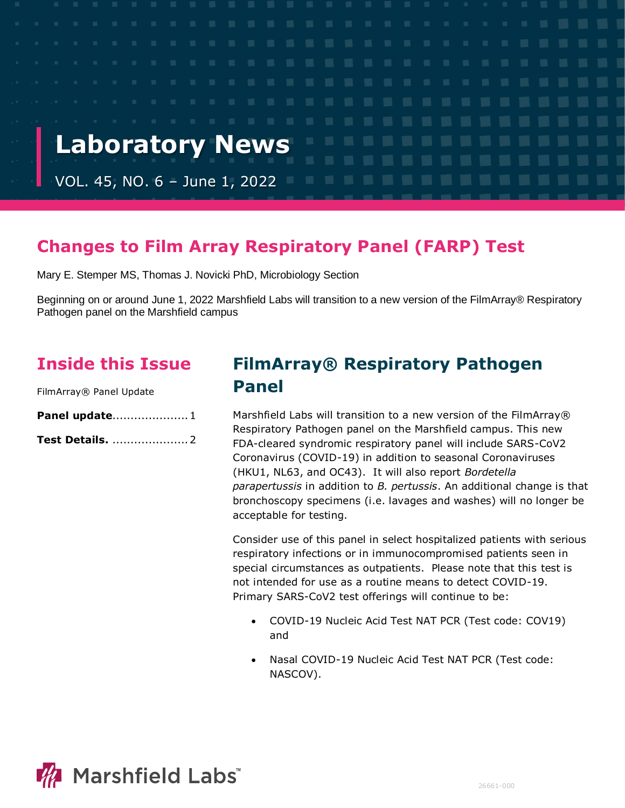

# **Changes to Film Array Respiratory Panel (FARP) Test**

Mary E. Stemper MS, Thomas J. Novicki PhD, Microbiology Section

Beginning on or around June 1, 2022 Marshfield Labs will transition to a new version of the FilmArray® Respiratory Pathogen panel on the Marshfield campus

## **Inside this Issue**

FilmArray® Panel Update

| Panel update 1         |  |
|------------------------|--|
| <b>Test Details.</b> 2 |  |

# **FilmArray® Respiratory Pathogen Panel**

Marshfield Labs will transition to a new version of the FilmArray® Respiratory Pathogen panel on the Marshfield campus. This new FDA-cleared syndromic respiratory panel will include SARS-CoV2 Coronavirus (COVID-19) in addition to seasonal Coronaviruses (HKU1, NL63, and OC43). It will also report *Bordetella parapertussis* in addition to *B. pertussis*. An additional change is that bronchoscopy specimens (i.e. lavages and washes) will no longer be acceptable for testing.

Consider use of this panel in select hospitalized patients with serious respiratory infections or in immunocompromised patients seen in special circumstances as outpatients. Please note that this test is not intended for use as a routine means to detect COVID-19. Primary SARS-CoV2 test offerings will continue to be:

- COVID-19 Nucleic Acid Test NAT PCR (Test code: COV19) and
- Nasal COVID-19 Nucleic Acid Test NAT PCR (Test code: NASCOV).